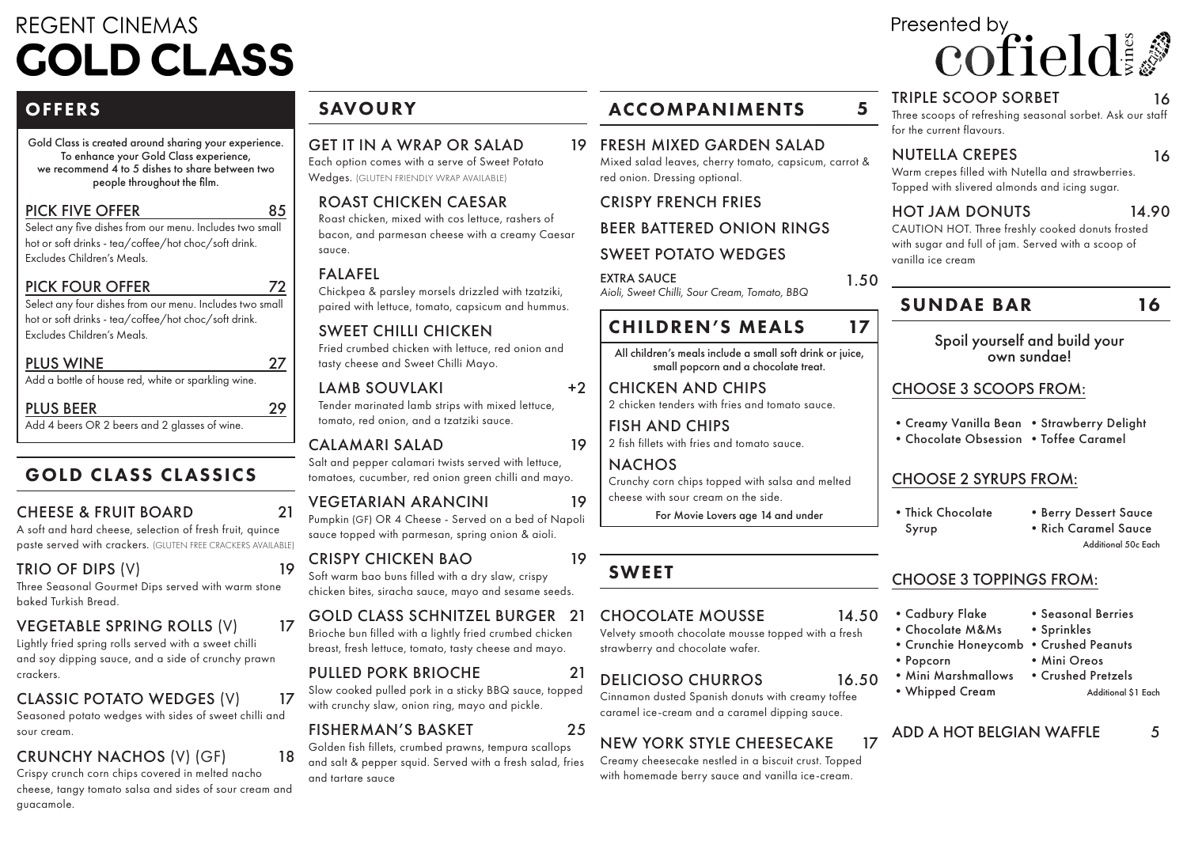# **REGENT CINEMAS COLD CLASS**

# **OFFERS**

Gold Class is created around sharing your experience. To enhance your Gold Class experience, we recommend 4 to 5 dishes to share between two people throughout the film.

#### PICK FIVE OFFER

Select any five dishes from our menu. Includes two small hot or soft drinks - tea/coffee/hot choc/soft drink. Excludes Children's Meals.

### PICK FOUR OFFER

Select any four dishes from our menu. Includes two small hot or soft drinks - tea/coffee/hot choc/soft drink. Excludes Children's Meals.

#### PLUS WINE

Add a bottle of house red, white or sparkling wine.

# PLUS BEER

Add 4 beers OR 2 beers and 2 glasses of wine.

# GOLD CLASS CLASSICS

# CHEESE & FRUIT BOARD

A soft and hard cheese, selection of fresh fruit, quince paste served with crackers. (GLUTEN FREE CRACKERS AVAILABLE)

# TRIO OF DIPS (V)

Three Seasonal Gourmet Dips served with warm stone baked Turkish Bread.

# VEGETABLE SPRING ROLLS (V)

Lightly fried spring rolls served with a sweet chilli and soy dipping sauce, and a side of crunchy prawn crackers.

# CLASSIC POTATO WEDGES (V)

Seasoned potato wedges with sides of sweet chilli and sour cream.

# CRUNCHY NACHOS (V) (GF)

Crispy crunch corn chips covered in melted nacho cheese, tangy tomato salsa and sides of sour cream and guacamole.

# SAVOURY

# GET IT IN A WRAP OR SALAD

Each option comes with a serve of Sweet Potato Wedges. (GLUTEN FRIENDLY WRAP AVAILABLE)

# ROAST CHICKEN CAESAR

Roast chicken, mixed with cos lettuce, rashers of bacon, and parmesan cheese with a creamy Caesar sauce.

# FALAFEL

85

72

27

29

21

19

17

17

18

Chickpea & parsley morsels drizzled with tzatziki, paired with lettuce, tomato, capsicum and hummus.

### SWEET CHILLI CHICKEN

Fried crumbed chicken with lettuce, red onion and tasty cheese and Sweet Chilli Mayo.

#### LAMB SOUVLAKI Tender marinated lamb strips with mixed lettuce, tomato, red onion, and a tzatziki sauce.

# CALAMARI SALAD

Salt and pepper calamari twists served with lettuce, tomatoes, cucumber, red onion green chilli and mayo.

# VEGETARIAN ARANCINI

Pumpkin (GF) OR 4 Cheese - Served on a bed of Napoli sauce topped with parmesan, spring onion & aioli.

### CRISPY CHICKEN BAO

Soft warm bao buns filled with a dry slaw, crispy chicken bites, siracha sauce, mayo and sesame seeds.

# GOLD CLASS SCHNITZEL BURGER 21

Brioche bun filled with a lightly fried crumbed chicken breast, fresh lettuce, tomato, tasty cheese and mayo.

# PULLED PORK BRIOCHE

Slow cooked pulled pork in a sticky BBQ sauce, topped with crunchy slaw, onion ring, mayo and pickle.

# FISHERMAN'S BASKET

Golden fish fillets, crumbed prawns, tempura scallops and salt & pepper squid. Served with a fresh salad, fries and tartare sauce

# ACCOMPANIMENTS 5

19 FRESH MIXED GARDEN SALAD Mixed salad leaves, cherry tomato, capsicum, carrot & red onion. Dressing optional.

# CRISPY FRENCH FRIES

#### BEER BATTERED ONION RINGS

### SWEET POTATO WEDGES

1.50 EXTRA SAUCE *Aioli, Sweet Chilli, Sour Cream, Tomato, BBQ*

# CHILDREN'S MEALS

All children's meals include a small soft drink or juice, small popcorn and a chocolate treat.

#### CHICKEN AND CHIPS 2 chicken tenders with fries and tomato sauce.

FISH AND CHIPS 2 fish fillets with fries and tomato sauce.

#### **NACHOS** Crunchy corn chips topped with salsa and melted cheese with sour cream on the side.

For Movie Lovers age 14 and under

# SWEET

+2

19

19

19

21

25

#### CHOCOLATE MOUSSE

Velvety smooth chocolate mousse topped with a fresh strawberry and chocolate wafer.

# DELICIOSO CHURROS

Cinnamon dusted Spanish donuts with creamy toffee caramel ice-cream and a caramel dipping sauce.

# NEW YORK STYLE CHEESECAKE

Creamy cheesecake nestled in a biscuit crust. Topped with homemade berry sauce and vanilla ice-cream.

#### TRIPLE SCOOP SORBET

Presented by

Three scoops of refreshing seasonal sorbet. Ask our staff for the current flavours.

#### NUTELLA CREPES

16

16

Warm crepes filled with Nutella and strawberries. Topped with slivered almonds and icing sugar.

#### HOT JAM DONUTS 14.90

cofield

CAUTION HOT. Three freshly cooked donuts frosted with sugar and full of jam. Served with a scoop of vanilla ice cream

# SUNDAE BAR

17

16.50

17

# Spoil yourself and build your own sundae!

# CHOOSE 3 SCOOPS FROM:

- •Creamy Vanilla Bean •Strawberry Delight
- Chocolate Obsession Toffee Caramel

# CHOOSE 2 SYRUPS FROM:

- •Thick Chocolate Syrup
- •Berry Dessert Sauce •Rich Caramel Sauce

•Seasonal Berries

Additional 50c Each

# CHOOSE 3 TOPPINGS FROM:

- 14.50 •Cadbury Flake
	- •Chocolate M&Ms •Sprinkles
	- •Crunchie Honeycomb •Crushed Peanuts
	- •Popcorn • Mini Oreos
	- •Mini Marshmallows •Whipped Cream
- Additional \$1 Each
- ADD A HOT BELGIAN WAFFLE 5
- 

•Crushed Pretzels